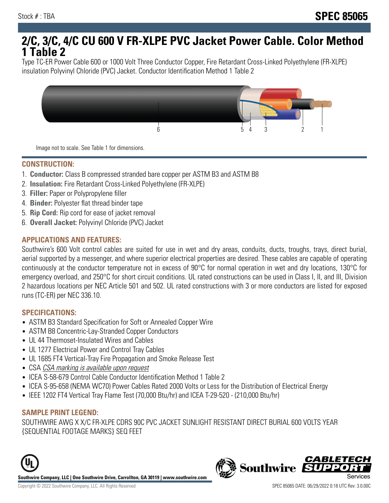# **2/C, 3/C, 4/C CU 600 V FR-XLPE PVC Jacket Power Cable. Color Method 1 Table 2**

Type TC-ER Power Cable 600 or 1000 Volt Three Conductor Copper, Fire Retardant Cross-Linked Polyethylene (FR-XLPE) insulation Polyvinyl Chloride (PVC) Jacket. Conductor Identification Method 1 Table 2



Image not to scale. See Table 1 for dimensions.

#### **CONSTRUCTION:**

- 1. **Conductor:** Class B compressed stranded bare copper per ASTM B3 and ASTM B8
- 2. **Insulation:** Fire Retardant Cross-Linked Polyethylene (FR-XLPE)
- 3. **Filler:** Paper or Polypropylene filler
- 4. **Binder:** Polyester flat thread binder tape
- 5. **Rip Cord:** Rip cord for ease of jacket removal
- 6. **Overall Jacket:** Polyvinyl Chloride (PVC) Jacket

## **APPLICATIONS AND FEATURES:**

Southwire's 600 Volt control cables are suited for use in wet and dry areas, conduits, ducts, troughs, trays, direct burial, aerial supported by a messenger, and where superior electrical properties are desired. These cables are capable of operating continuously at the conductor temperature not in excess of 90°C for normal operation in wet and dry locations, 130°C for emergency overload, and 250°C for short circuit conditions. UL rated constructions can be used in Class I, II, and III, Division 2 hazardous locations per NEC Article 501 and 502. UL rated constructions with 3 or more conductors are listed for exposed runs (TC-ER) per NEC 336.10.

#### **SPECIFICATIONS:**

- ASTM B3 Standard Specification for Soft or Annealed Copper Wire
- ASTM B8 Concentric-Lay-Stranded Copper Conductors
- UL 44 Thermoset-Insulated Wires and Cables
- UL 1277 Electrical Power and Control Tray Cables
- UL 1685 FT4 Vertical-Tray Fire Propagation and Smoke Release Test
- CSA CSA marking is available upon request
- ICEA S-58-679 Control Cable Conductor Identification Method 1 Table 2
- ICEA S-95-658 (NEMA WC70) Power Cables Rated 2000 Volts or Less for the Distribution of Electrical Energy
- IEEE 1202 FT4 Vertical Tray Flame Test (70,000 Btu/hr) and ICEA T-29-520 (210,000 Btu/hr)

#### **SAMPLE PRINT LEGEND:**

SOUTHWIRE AWG X X/C FR-XLPE CDRS 90C PVC JACKET SUNLIGHT RESISTANT DIRECT BURIAL 600 VOLTS YEAR {SEQUENTIAL FOOTAGE MARKS} SEQ FEET





**CABLETE**